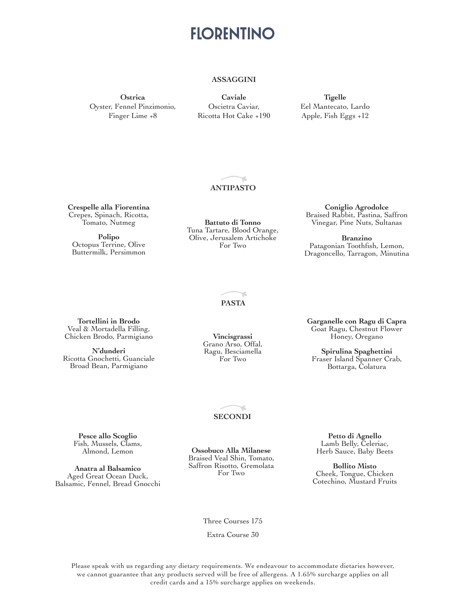#### **ASSAGGINI**

**Ostrica** Oyster, Fennel Pinzimonio, Finger Lime +8

**Caviale** Oscietra Caviar, Ricotta Hot Cake +190

**Tigelle** Eel Mantecato, Lardo Apple, Fish Eggs +12

#### **ANTIPASTO**

**Crespelle alla Fiorentina** Crepes, Spinach, Ricotta, Tomato, Nutmeg

**Polipo** Octopus Terrine, Olive Buttermilk, Persimmon

**Battuto di Tonno** Tuna Tartare, Blood Orange, Olive, Jerusalem Artichoke For Two

**Coniglio Agrodolce** Braised Rabbit, Pastina, Saffron Vinegar, Pine Nuts, Sultanas

**Branzino** Patagonian Toothfish, Lemon, Dragoncello, Tarragon, Minutina

**PASTA**

ď.

**Tortellini in Brodo** Veal & Mortadella Filling, Chicken Brodo, Parmigiano

**N'dunderi** Ricotta Gnochetti, Guanciale Broad Bean, Parmigiano

**Vincisgrassi** Grano Arso, Offal, Ragu, Besciamella For Two

**Garganelle con Ragu di Capra** Goat Ragu, Chestnut Flower Honey, Oregano

**Spirulina Spaghettini** Fraser Island Spanner Crab, Bottarga, Colatura

#### **SECONDI**

**Pesce allo Scoglio** Fish, Mussels, Clams, Almond, Lemon

**Anatra al Balsamico** Aged Great Ocean Duck, Balsamic, Fennel, Bread Gnocchi

**Ossobuco Alla Milanese** Braised Veal Shin, Tomato, Saffron Risotto, Gremolata For Two

**Petto di Agnello** Lamb Belly, Celeriac, Herb Sauce, Baby Beets

**Bollito Misto** Cheek, Tongue, Chicken Cotechino, Mustard Fruits

Three Courses 175

Extra Course 30

Please speak with us regarding any dietary requirements. We endeavour to accommodate dietaries however, we cannot guarantee that any products served will be free of allergens. A 1.65% surcharge applies on all credit cards and a 15% surcharge applies on weekends.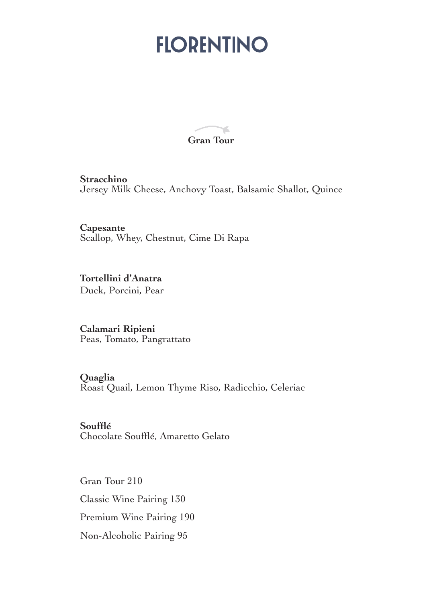ď. **Gran Tour** 

**Stracchino** Jersey Milk Cheese, Anchovy Toast, Balsamic Shallot, Quince

**Capesante**  Scallop, Whey, Chestnut, Cime Di Rapa

**Tortellini d'Anatra** Duck, Porcini, Pear

**Calamari Ripieni** Peas, Tomato, Pangrattato

**Quaglia**

Roast Quail, Lemon Thyme Riso, Radicchio, Celeriac

**Soufflé**  Chocolate Soufflé, Amaretto Gelato

Gran Tour 210 Classic Wine Pairing 130 Premium Wine Pairing 190 Non-Alcoholic Pairing 95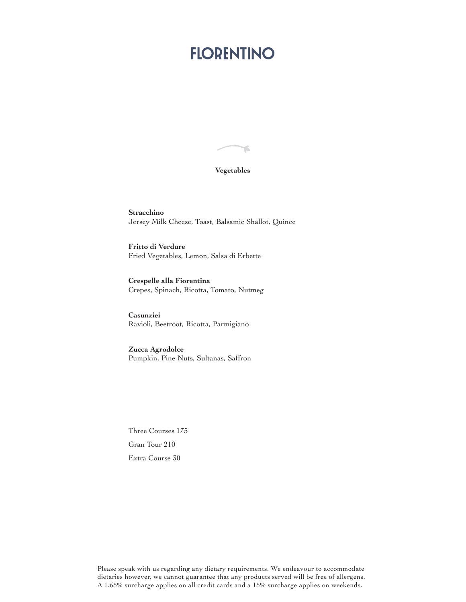#### **Vegetables**

۴

**Stracchino** Jersey Milk Cheese, Toast, Balsamic Shallot, Quince

**Fritto di Verdure** Fried Vegetables, Lemon, Salsa di Erbette

**Crespelle alla Fiorentina** Crepes, Spinach, Ricotta, Tomato, Nutmeg

**Casunziei** Ravioli, Beetroot, Ricotta, Parmigiano

**Zucca Agrodolce** Pumpkin, Pine Nuts, Sultanas, Saffron

Three Courses 175 Gran Tour 210 Extra Course 30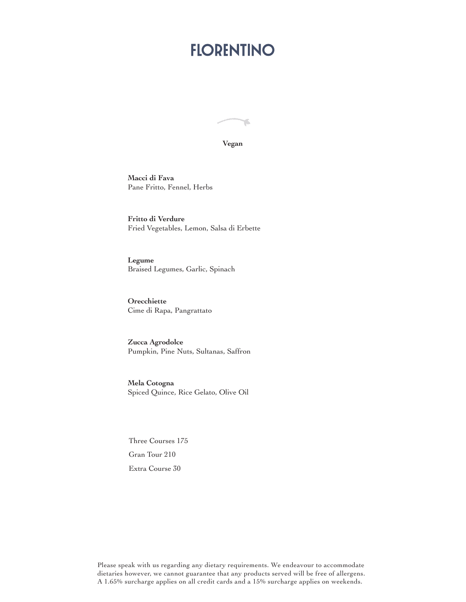舌

**Vegan**

**Macci di Fava** Pane Fritto, Fennel, Herbs

**Fritto di Verdure** Fried Vegetables, Lemon, Salsa di Erbette

**Legume** Braised Legumes, Garlic, Spinach

**Orecchiette** Cime di Rapa, Pangrattato

**Zucca Agrodolce** Pumpkin, Pine Nuts, Sultanas, Saffron

**Mela Cotogna**  Spiced Quince, Rice Gelato, Olive Oil

Three Courses 175 Gran Tour 210 Extra Course 30

Please speak with us regarding any dietary requirements. We endeavour to accommodate dietaries however, we cannot guarantee that any products served will be free of allergens. A 1.65% surcharge applies on all credit cards and a 15% surcharge applies on weekends.